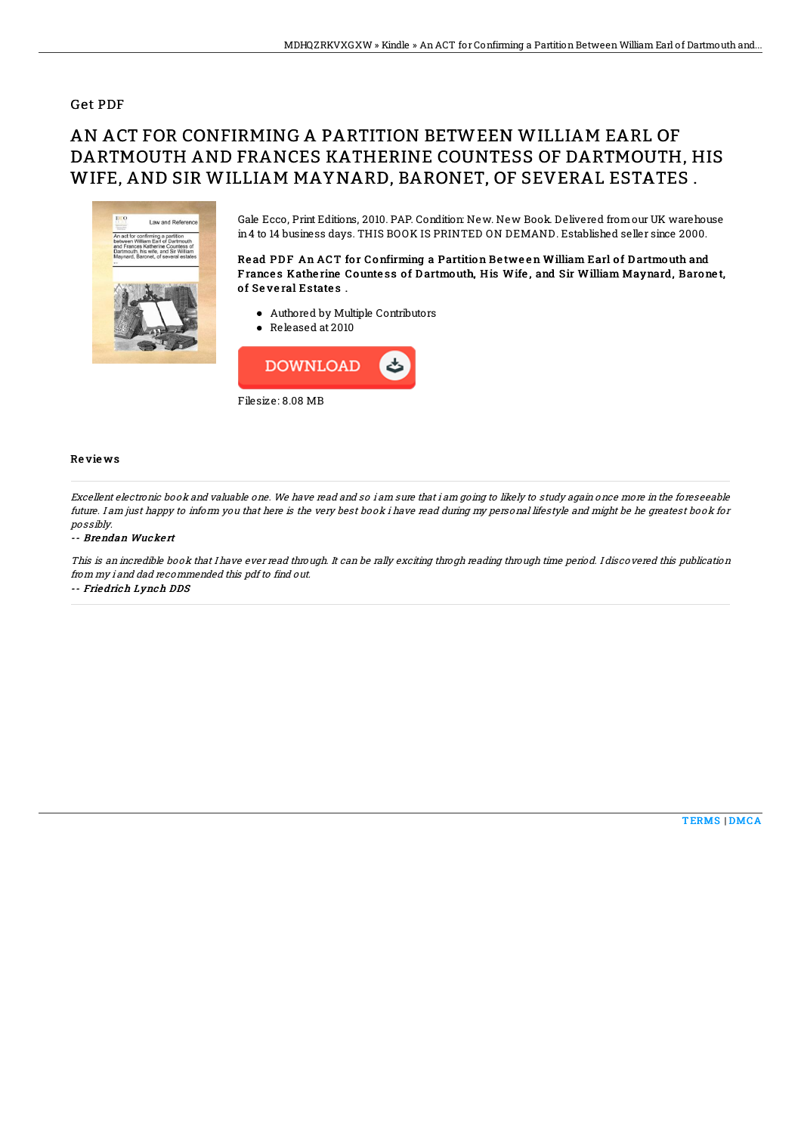### Get PDF

# AN ACT FOR CONFIRMING A PARTITION BETWEEN WILLIAM EARL OF DARTMOUTH AND FRANCES KATHERINE COUNTESS OF DARTMOUTH, HIS WIFE, AND SIR WILLIAM MAYNARD, BARONET, OF SEVERAL ESTATES .



Gale Ecco, Print Editions, 2010. PAP. Condition: New. New Book. Delivered fromour UK warehouse in4 to 14 business days. THIS BOOK IS PRINTED ON DEMAND. Established seller since 2000.

Read PDF An ACT for Confirming a Partition Between William Earl of Dartmouth and Frances Katherine Countess of Dartmouth, His Wife, and Sir William Maynard, Baronet, of Several Estates.

- Authored by Multiple Contributors
- Released at 2010



#### Re vie ws

Excellent electronic book and valuable one. We have read and so i am sure that i am going to likely to study again once more in the foreseeable future. I am just happy to inform you that here is the very best book i have read during my personal lifestyle and might be he greatest book for possibly.

#### -- Brendan Wuckert

This is an incredible book that I have ever read through. It can be rally exciting throgh reading through time period. I discovered this publication from my i and dad recommended this pdf to find out. -- Friedrich Lynch DDS